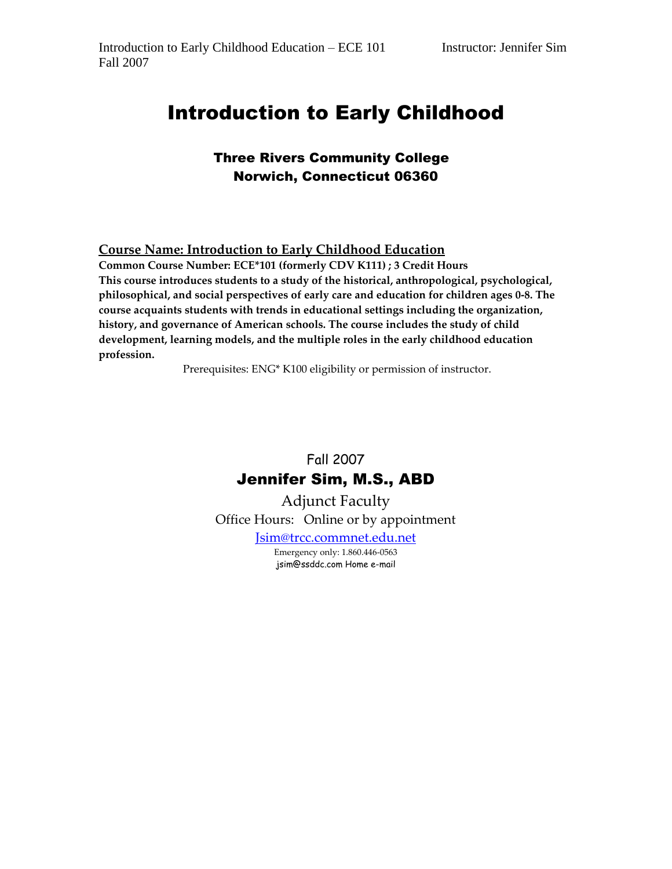# Introduction to Early Childhood

# Three Rivers Community College Norwich, Connecticut 06360

#### **Course Name: Introduction to Early Childhood Education**

**Common Course Number: ECE\*101 (formerly CDV K111) ; 3 Credit Hours This course introduces students to a study of the historical, anthropological, psychological, philosophical, and social perspectives of early care and education for children ages 0-8. The course acquaints students with trends in educational settings including the organization, history, and governance of American schools. The course includes the study of child development, learning models, and the multiple roles in the early childhood education profession.** 

Prerequisites: ENG\* K100 eligibility or permission of instructor.

# Fall 2007 Jennifer Sim, M.S., ABD

Adjunct Faculty Office Hours: Online or by appointment

[Jsim@trcc.commnet.edu.net](mailto:Jsim@trcc.commnet.edu.net)

Emergency only: 1.860.446-0563 jsim@ssddc.com Home e-mail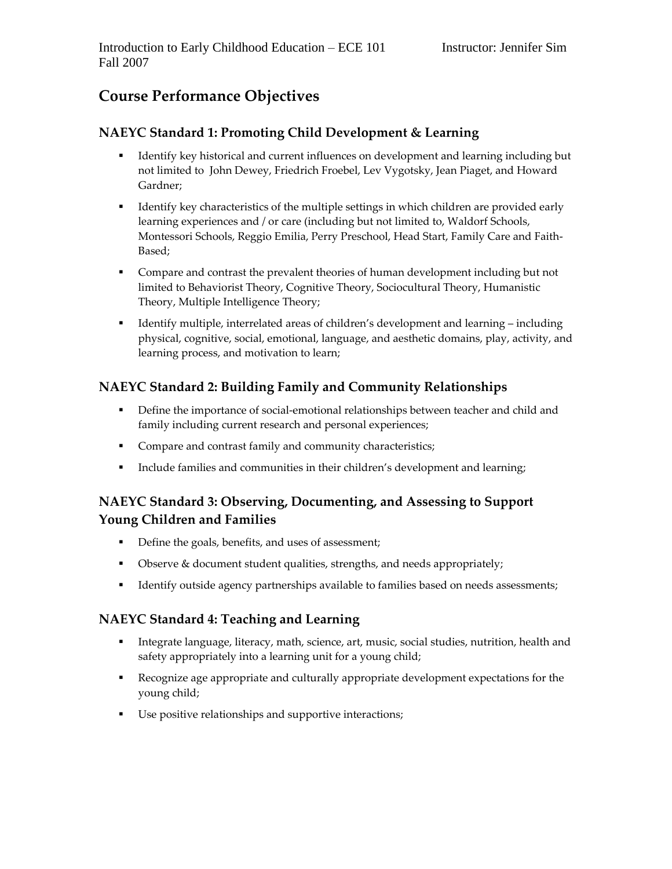# **Course Performance Objectives**

### **NAEYC Standard 1: Promoting Child Development & Learning**

- Identify key historical and current influences on development and learning including but not limited to John Dewey, Friedrich Froebel, Lev Vygotsky, Jean Piaget, and Howard Gardner;
- Identify key characteristics of the multiple settings in which children are provided early learning experiences and / or care (including but not limited to, Waldorf Schools, Montessori Schools, Reggio Emilia, Perry Preschool, Head Start, Family Care and Faith-Based;
- Compare and contrast the prevalent theories of human development including but not limited to Behaviorist Theory, Cognitive Theory, Sociocultural Theory, Humanistic Theory, Multiple Intelligence Theory;
- Identify multiple, interrelated areas of children's development and learning including physical, cognitive, social, emotional, language, and aesthetic domains, play, activity, and learning process, and motivation to learn;

# **NAEYC Standard 2: Building Family and Community Relationships**

- **•** Define the importance of social-emotional relationships between teacher and child and family including current research and personal experiences;
- **Compare and contrast family and community characteristics;**
- **Include families and communities in their children's development and learning;**

# **NAEYC Standard 3: Observing, Documenting, and Assessing to Support Young Children and Families**

- Define the goals, benefits, and uses of assessment;
- Observe & document student qualities, strengths, and needs appropriately;
- Identify outside agency partnerships available to families based on needs assessments;

#### **NAEYC Standard 4: Teaching and Learning**

- Integrate language, literacy, math, science, art, music, social studies, nutrition, health and safety appropriately into a learning unit for a young child;
- Recognize age appropriate and culturally appropriate development expectations for the young child;
- Use positive relationships and supportive interactions;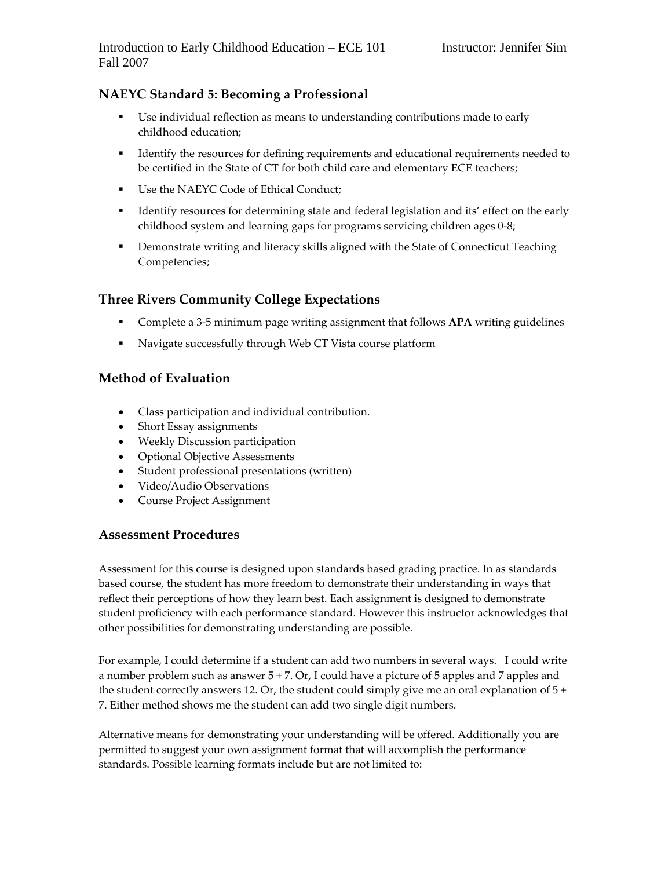## **NAEYC Standard 5: Becoming a Professional**

- Use individual reflection as means to understanding contributions made to early childhood education;
- Identify the resources for defining requirements and educational requirements needed to be certified in the State of CT for both child care and elementary ECE teachers;
- Use the NAEYC Code of Ethical Conduct;
- Identify resources for determining state and federal legislation and its' effect on the early childhood system and learning gaps for programs servicing children ages 0-8;
- **•** Demonstrate writing and literacy skills aligned with the State of Connecticut Teaching Competencies;

#### **Three Rivers Community College Expectations**

- Complete a 3-5 minimum page writing assignment that follows **APA** writing guidelines
- Navigate successfully through Web CT Vista course platform

#### **Method of Evaluation**

- Class participation and individual contribution.
- Short Essay assignments
- Weekly Discussion participation
- Optional Objective Assessments
- Student professional presentations (written)
- Video/Audio Observations
- Course Project Assignment

#### **Assessment Procedures**

Assessment for this course is designed upon standards based grading practice. In as standards based course, the student has more freedom to demonstrate their understanding in ways that reflect their perceptions of how they learn best. Each assignment is designed to demonstrate student proficiency with each performance standard. However this instructor acknowledges that other possibilities for demonstrating understanding are possible.

For example, I could determine if a student can add two numbers in several ways. I could write a number problem such as answer 5 + 7. Or, I could have a picture of 5 apples and 7 apples and the student correctly answers 12. Or, the student could simply give me an oral explanation of  $5 +$ 7. Either method shows me the student can add two single digit numbers.

Alternative means for demonstrating your understanding will be offered. Additionally you are permitted to suggest your own assignment format that will accomplish the performance standards. Possible learning formats include but are not limited to: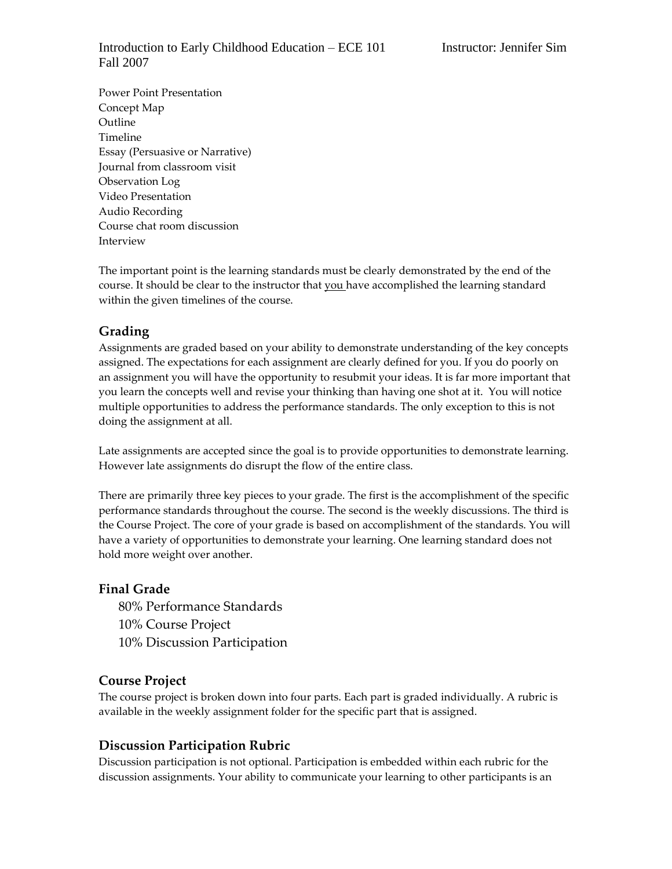#### Introduction to Early Childhood Education – ECE 101 Instructor: Jennifer Sim Fall 2007

Power Point Presentation Concept Map Outline Timeline Essay (Persuasive or Narrative) Journal from classroom visit Observation Log Video Presentation Audio Recording Course chat room discussion Interview

The important point is the learning standards must be clearly demonstrated by the end of the course. It should be clear to the instructor that you have accomplished the learning standard within the given timelines of the course.

#### **Grading**

Assignments are graded based on your ability to demonstrate understanding of the key concepts assigned. The expectations for each assignment are clearly defined for you. If you do poorly on an assignment you will have the opportunity to resubmit your ideas. It is far more important that you learn the concepts well and revise your thinking than having one shot at it. You will notice multiple opportunities to address the performance standards. The only exception to this is not doing the assignment at all.

Late assignments are accepted since the goal is to provide opportunities to demonstrate learning. However late assignments do disrupt the flow of the entire class.

There are primarily three key pieces to your grade. The first is the accomplishment of the specific performance standards throughout the course. The second is the weekly discussions. The third is the Course Project. The core of your grade is based on accomplishment of the standards. You will have a variety of opportunities to demonstrate your learning. One learning standard does not hold more weight over another.

#### **Final Grade**

80% Performance Standards 10% Course Project 10% Discussion Participation

#### **Course Project**

The course project is broken down into four parts. Each part is graded individually. A rubric is available in the weekly assignment folder for the specific part that is assigned.

#### **Discussion Participation Rubric**

Discussion participation is not optional. Participation is embedded within each rubric for the discussion assignments. Your ability to communicate your learning to other participants is an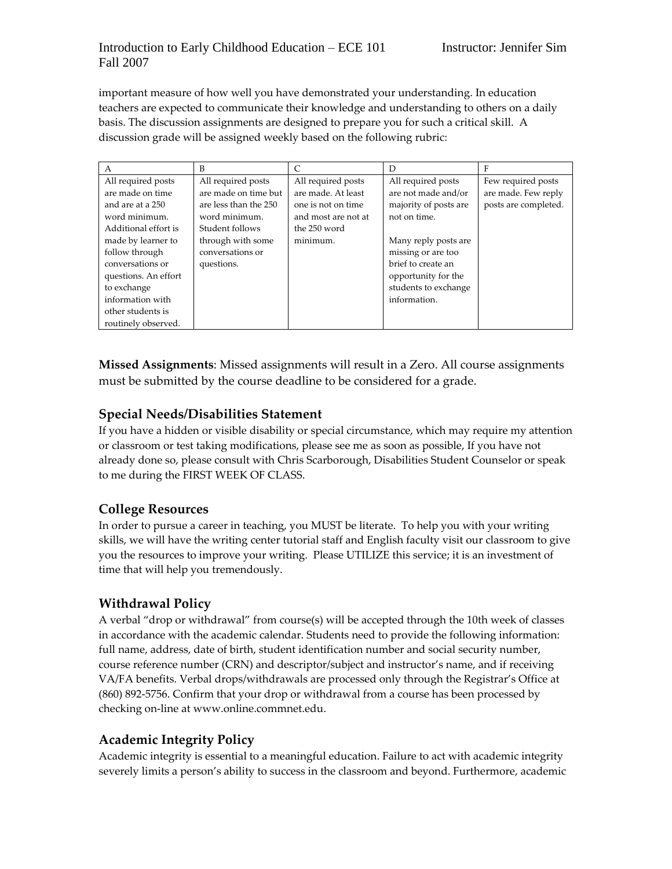important measure of how well you have demonstrated your understanding. In education teachers are expected to communicate their knowledge and understanding to others on a daily basis. The discussion assignments are designed to prepare you for such a critical skill. A discussion grade will be assigned weekly based on the following rubric:

| A                    | B                     | $\mathcal{C}$       | D                     | F                    |
|----------------------|-----------------------|---------------------|-----------------------|----------------------|
| All required posts   | All required posts    | All required posts  | All required posts    | Few required posts   |
| are made on time     | are made on time but  | are made. At least  | are not made and/or   | are made. Few reply  |
| and are at a 250     | are less than the 250 | one is not on time. | majority of posts are | posts are completed. |
| word minimum.        | word minimum.         | and most are not at | not on time.          |                      |
| Additional effort is | Student follows       | the 250 word        |                       |                      |
| made by learner to   | through with some     | minimum.            | Many reply posts are  |                      |
| follow through       | conversations or      |                     | missing or are too    |                      |
| conversations or     | questions.            |                     | brief to create an    |                      |
| questions. An effort |                       |                     | opportunity for the   |                      |
| to exchange          |                       |                     | students to exchange  |                      |
| information with     |                       |                     | information.          |                      |
| other students is    |                       |                     |                       |                      |
| routinely observed.  |                       |                     |                       |                      |

**Missed Assignments**: Missed assignments will result in a Zero. All course assignments must be submitted by the course deadline to be considered for a grade.

## **Special Needs/Disabilities Statement**

If you have a hidden or visible disability or special circumstance, which may require my attention or classroom or test taking modifications, please see me as soon as possible, If you have not already done so, please consult with Chris Scarborough, Disabilities Student Counselor or speak to me during the FIRST WEEK OF CLASS.

#### **College Resources**

In order to pursue a career in teaching, you MUST be literate. To help you with your writing skills, we will have the writing center tutorial staff and English faculty visit our classroom to give you the resources to improve your writing. Please UTILIZE this service; it is an investment of time that will help you tremendously.

# **Withdrawal Policy**

A verbal "drop or withdrawal" from course(s) will be accepted through the 10th week of classes in accordance with the academic calendar. Students need to provide the following information: full name, address, date of birth, student identification number and social security number, course reference number (CRN) and descriptor/subject and instructor's name, and if receiving VA/FA benefits. Verbal drops/withdrawals are processed only through the Registrar's Office at (860) 892-5756. Confirm that your drop or withdrawal from a course has been processed by checking on-line at www.online.commnet.edu.

# **Academic Integrity Policy**

Academic integrity is essential to a meaningful education. Failure to act with academic integrity severely limits a person's ability to success in the classroom and beyond. Furthermore, academic